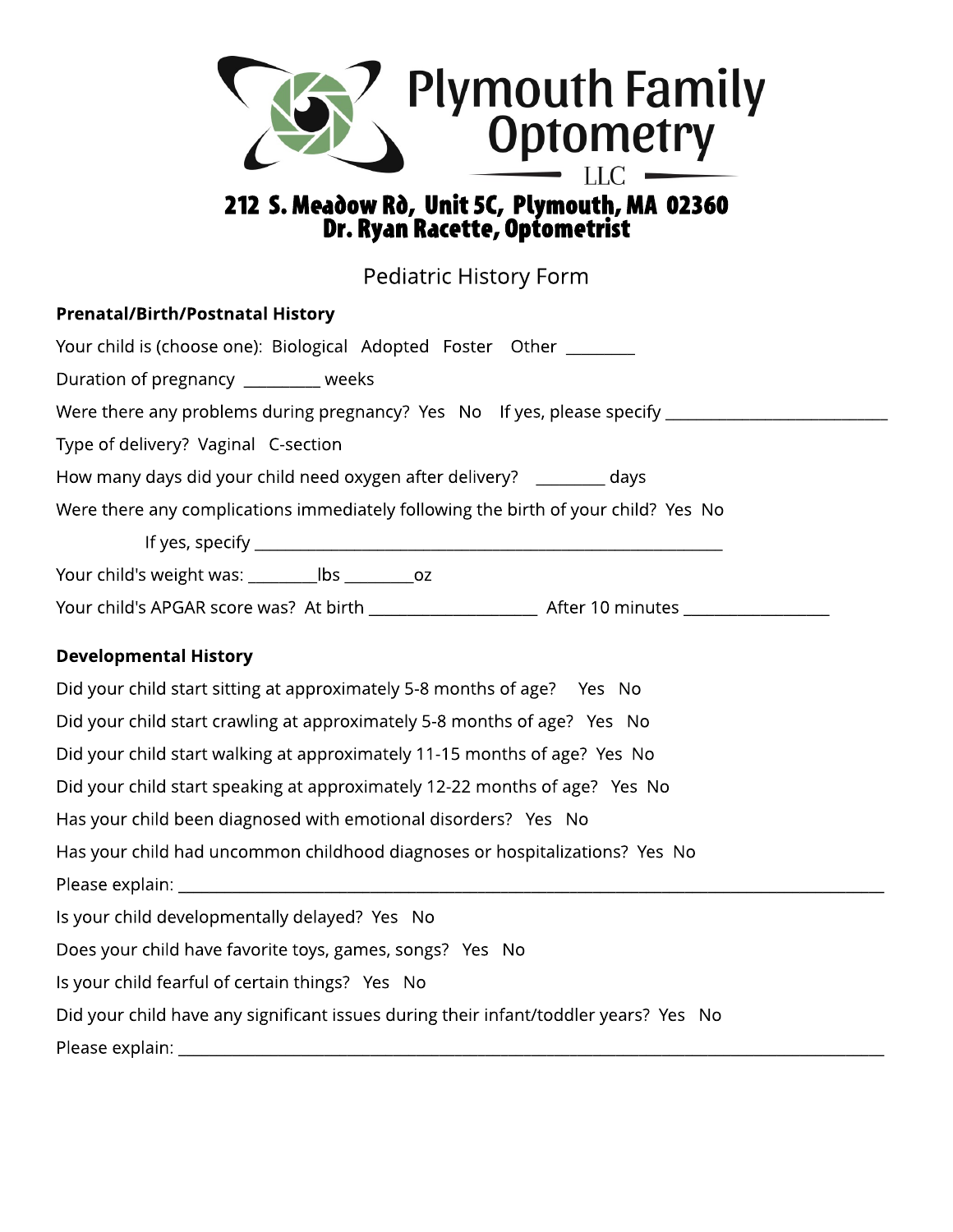

## 212 S. Meadow Rò, Unit 5C, Plymouth, MA 02360 Dr. Ryan Racette, Optometrist

Pediatric History Form

| <b>Prenatal/Birth/Postnatal History</b>                                                 |  |  |  |  |  |  |
|-----------------------------------------------------------------------------------------|--|--|--|--|--|--|
| Your child is (choose one): Biological Adopted Foster Other _______                     |  |  |  |  |  |  |
| Duration of pregnancy ________ weeks                                                    |  |  |  |  |  |  |
| Were there any problems during pregnancy? Yes No If yes, please specify _______________ |  |  |  |  |  |  |
| Type of delivery? Vaginal C-section                                                     |  |  |  |  |  |  |
| How many days did your child need oxygen after delivery? ________ days                  |  |  |  |  |  |  |
| Were there any complications immediately following the birth of your child? Yes No      |  |  |  |  |  |  |
|                                                                                         |  |  |  |  |  |  |
| Your child's weight was: _____________ lbs _____________ oz                             |  |  |  |  |  |  |
|                                                                                         |  |  |  |  |  |  |
| <b>Developmental History</b>                                                            |  |  |  |  |  |  |
| Did your child start sitting at approximately 5-8 months of age?  Yes No                |  |  |  |  |  |  |
| Did your child start crawling at approximately 5-8 months of age? Yes No                |  |  |  |  |  |  |
| Did your child start walking at approximately 11-15 months of age? Yes No               |  |  |  |  |  |  |
| Did your child start speaking at approximately 12-22 months of age? Yes No              |  |  |  |  |  |  |
| Has your child been diagnosed with emotional disorders? Yes No                          |  |  |  |  |  |  |
| Has your child had uncommon childhood diagnoses or hospitalizations? Yes No             |  |  |  |  |  |  |
|                                                                                         |  |  |  |  |  |  |
| Is your child developmentally delayed? Yes No                                           |  |  |  |  |  |  |
| Does your child have favorite toys, games, songs? Yes No                                |  |  |  |  |  |  |
| Is your child fearful of certain things? Yes No                                         |  |  |  |  |  |  |
| Did your child have any significant issues during their infant/toddler years? Yes No    |  |  |  |  |  |  |
|                                                                                         |  |  |  |  |  |  |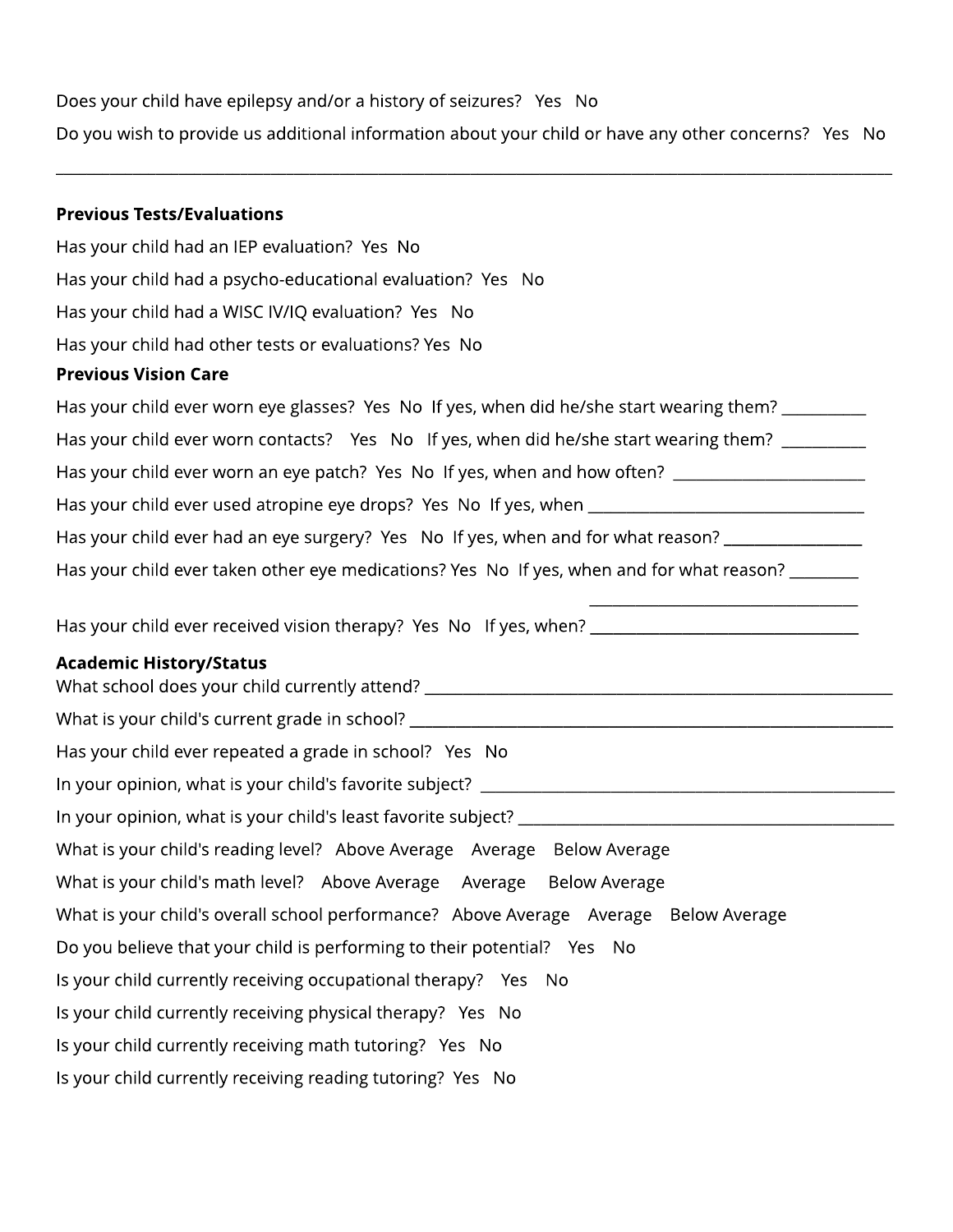Does your child have epilepsy and/or a history of seizures? Yes No

Do you wish to provide us additional information about your child or have any other concerns? Yes No

\_\_\_\_\_\_\_\_\_\_\_\_\_\_\_\_\_\_\_\_\_\_\_\_\_\_\_\_\_\_\_\_\_\_\_\_\_\_\_\_\_\_\_\_\_\_\_\_\_\_\_\_\_\_\_\_\_\_\_\_\_\_\_\_\_\_\_\_\_\_\_\_\_\_\_\_\_\_\_\_\_\_\_\_\_\_\_\_\_\_\_\_\_\_\_\_\_\_\_\_\_\_\_\_\_\_\_\_\_

#### **Previous Tests/Evaluations**

Has your child had an IEP evaluation? Yes No Has your child had a psycho-educational evaluation? Yes No Has your child had a WISC IV/IQ evaluation? Yes No Has your child had other tests or evaluations? Yes No

#### Previous Vision Care

| Has your child ever worn eye glasses? Yes No If yes, when did he/she start wearing them?  |  |  |  |  |  |  |
|-------------------------------------------------------------------------------------------|--|--|--|--|--|--|
| Has your child ever worn contacts? Yes No If yes, when did he/she start wearing them?     |  |  |  |  |  |  |
| Has your child ever worn an eye patch? Yes No If yes, when and how often?                 |  |  |  |  |  |  |
| Has your child ever used atropine eye drops? Yes No If yes, when ____                     |  |  |  |  |  |  |
| Has your child ever had an eye surgery? Yes No If yes, when and for what reason?          |  |  |  |  |  |  |
| Has your child ever taken other eye medications? Yes No If yes, when and for what reason? |  |  |  |  |  |  |

\_\_\_\_\_\_\_\_\_\_\_\_\_\_\_\_\_\_\_\_\_\_\_\_\_\_\_\_\_\_\_\_\_\_\_

Has your child ever received vision therapy? Yes No If yes, when?

### **Academic History/Status**

What school does your child currently attend? \_\_\_\_\_\_\_\_\_\_\_\_\_\_\_\_\_\_\_\_\_\_\_\_\_\_\_\_\_\_\_\_\_\_ What is your child's current grade in school? Has your child ever repeated a grade in school? Yes No In your opinion, what is your child's favorite subject? \_\_\_\_\_\_\_\_\_\_\_\_\_\_\_\_\_\_\_\_\_\_\_\_\_\_\_\_\_\_\_\_\_\_\_\_\_\_\_\_\_\_\_\_\_\_\_\_\_\_\_\_\_\_ In your opinion, what is your child's least favorite subject? \_\_\_\_\_\_\_\_\_\_\_\_\_\_\_\_\_\_\_ What is your child's reading level? Above Average Average Below Average What is your child's math level? Above Average Average Below Average What is your child's overall school performance? Above Average Average Below Average Do you believe that your child is performing to their potential? Yes No Is your child currently receiving occupational therapy? Yes No Is your child currently receiving physical therapy? Yes No Is your child currently receiving math tutoring? Yes No Is your child currently receiving reading tutoring? Yes No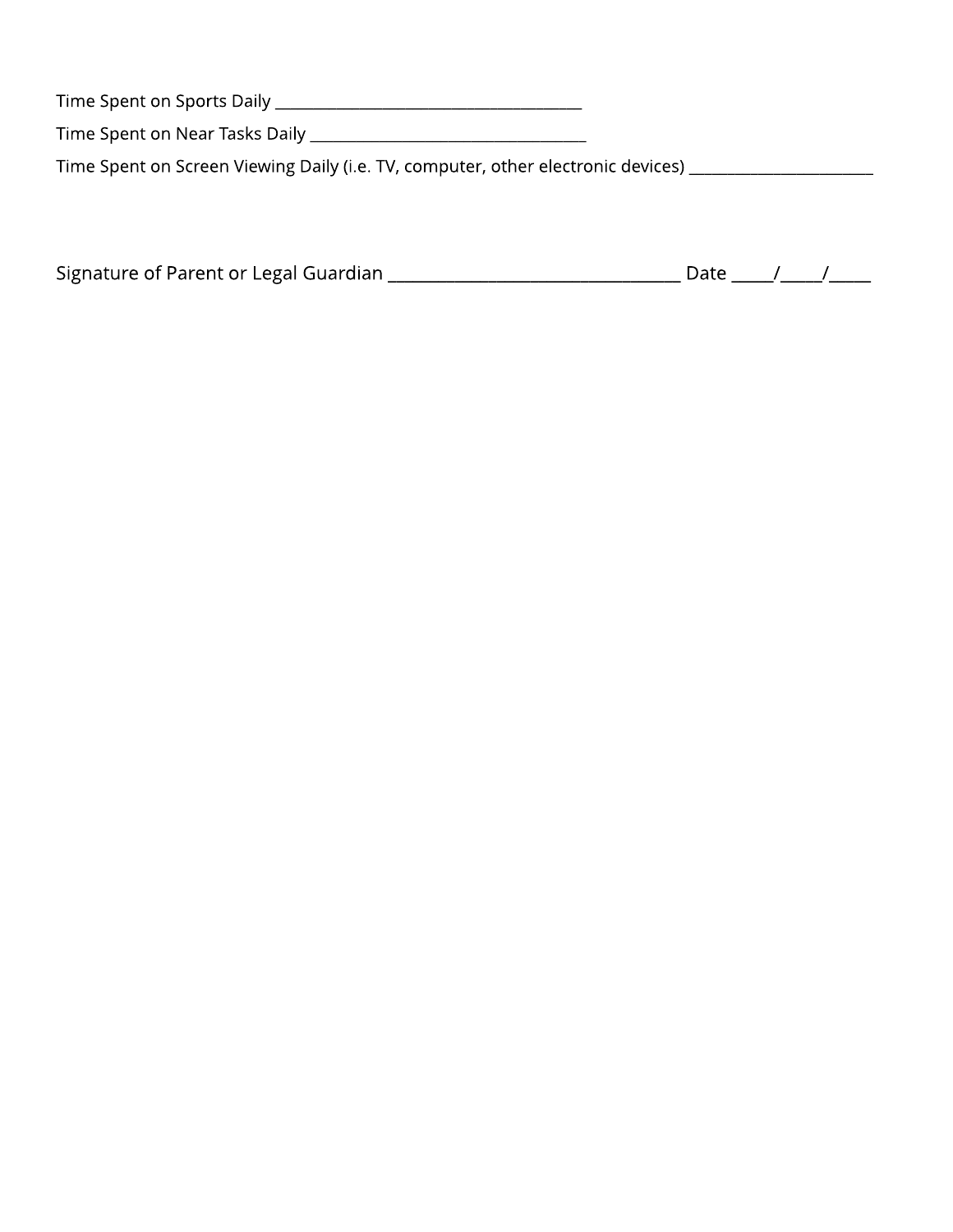Time Spent on Sports Daily \_\_\_\_\_\_\_\_\_\_\_\_\_\_\_\_\_\_\_\_\_\_\_\_\_\_\_\_\_\_\_\_\_\_\_\_\_\_\_\_

Time Spent on Near Tasks Daily \_\_\_\_\_\_\_\_\_\_\_\_\_\_\_\_\_\_\_\_\_\_\_\_\_\_\_\_\_\_\_\_\_\_\_\_

Time Spent on Screen Viewing Daily (i.e. TV, computer, other electronic devices) \_\_\_\_\_\_\_\_\_\_\_\_\_\_\_\_\_\_\_\_\_\_\_\_\_\_\_\_

| Signature of Parent or Legal Guardian |  |  |
|---------------------------------------|--|--|
|                                       |  |  |